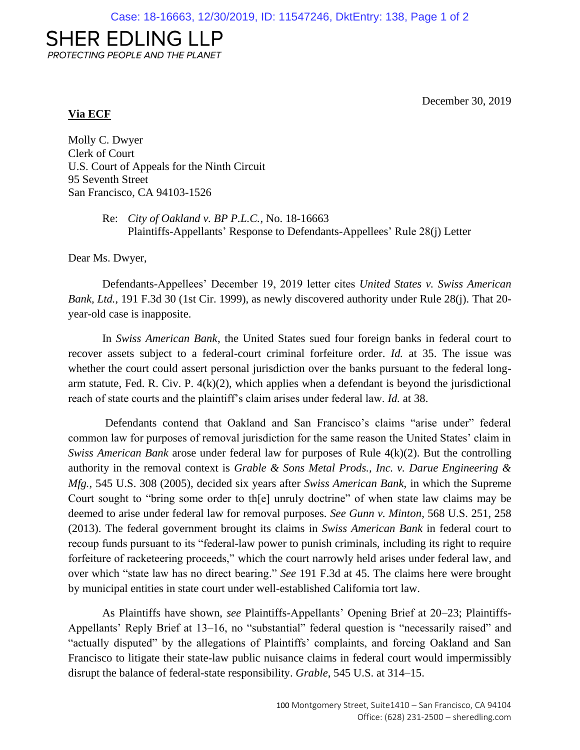## **SHER EDLING LLP**

PROTECTING PEOPLE AND THE PLANET

December 30, 2019

## **Via ECF**

Molly C. Dwyer Clerk of Court U.S. Court of Appeals for the Ninth Circuit 95 Seventh Street San Francisco, CA 94103-1526

> Re: *City of Oakland v. BP P.L.C.*, No. 18-16663 Plaintiffs-Appellants' Response to Defendants-Appellees' Rule 28(j) Letter

Dear Ms. Dwyer,

Defendants-Appellees' December 19, 2019 letter cites *United States v. Swiss American Bank, Ltd.*, 191 F.3d 30 (1st Cir. 1999), as newly discovered authority under Rule 28(j). That 20 year-old case is inapposite.

In *Swiss American Bank*, the United States sued four foreign banks in federal court to recover assets subject to a federal-court criminal forfeiture order. *Id.* at 35. The issue was whether the court could assert personal jurisdiction over the banks pursuant to the federal longarm statute, Fed. R. Civ. P.  $4(k)(2)$ , which applies when a defendant is beyond the jurisdictional reach of state courts and the plaintiff's claim arises under federal law. *Id.* at 38.

Defendants contend that Oakland and San Francisco's claims "arise under" federal common law for purposes of removal jurisdiction for the same reason the United States' claim in *Swiss American Bank* arose under federal law for purposes of Rule 4(k)(2). But the controlling authority in the removal context is *Grable & Sons Metal Prods., Inc. v. Darue Engineering & Mfg.*, 545 U.S. 308 (2005), decided six years after *Swiss American Bank*, in which the Supreme Court sought to "bring some order to th[e] unruly doctrine" of when state law claims may be deemed to arise under federal law for removal purposes. *See Gunn v. Minton*, 568 U.S. 251, 258 (2013). The federal government brought its claims in *Swiss American Bank* in federal court to recoup funds pursuant to its "federal-law power to punish criminals, including its right to require forfeiture of racketeering proceeds," which the court narrowly held arises under federal law, and over which "state law has no direct bearing." *See* 191 F.3d at 45. The claims here were brought by municipal entities in state court under well-established California tort law.

As Plaintiffs have shown, *see* Plaintiffs-Appellants' Opening Brief at 20–23; Plaintiffs-Appellants' Reply Brief at 13–16, no "substantial" federal question is "necessarily raised" and "actually disputed" by the allegations of Plaintiffs' complaints, and forcing Oakland and San Francisco to litigate their state-law public nuisance claims in federal court would impermissibly disrupt the balance of federal-state responsibility. *Grable*, 545 U.S. at 314–15.